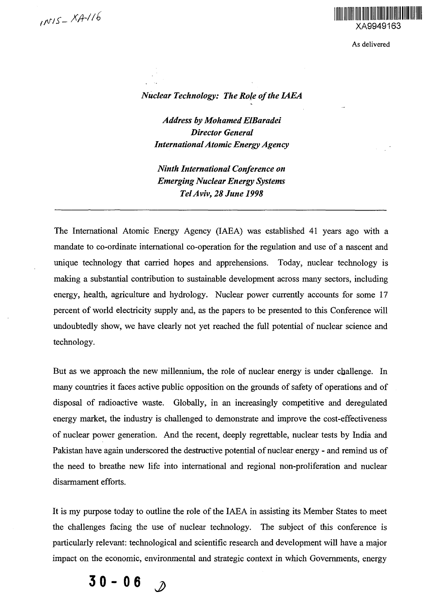

As delivered

# *Nuclear Technology: The Role of the IAEA*

*Address by Mohamed ElBaradei Director General International Atomic Energy Agency*

*Ninth International Conference on Emerging Nuclear Energy Systems Tel Aviv, 28 June 1998*

The International Atomic Energy Agency (IAEA) was established 41 years ago with a mandate to co-ordinate international co-operation for the regulation and use of a nascent and unique technology that carried hopes and apprehensions. Today, nuclear technology is making a substantial contribution to sustainable development across many sectors, including energy, health, agriculture and hydrology. Nuclear power currently accounts for some 17 percent of world electricity supply and, as the papers to be presented to this Conference will undoubtedly show, we have clearly not yet reached the full potential of nuclear science and technology.

But as we approach the new millennium, the role of nuclear energy is under challenge. In many countries it faces active public opposition on the grounds of safety of operations and of disposal of radioactive waste. Globally, in an increasingly competitive and deregulated energy market, the industry is challenged to demonstrate and improve the cost-effectiveness of nuclear power generation. And the recent, deeply regrettable, nuclear tests by India and Pakistan have again underscored the destructive potential of nuclear energy - and remind us of the need to breathe new life into international and regional non-proliferation and nuclear disarmament efforts.

It is my purpose today to outline the role of the IAEA in assisting its Member States to meet the challenges facing the use of nuclear technology. The subject of this conference is particularly relevant: technological and scientific research and development will have a major impact on the economic, environmental and strategic context in which Governments, energy

 $30 - 06$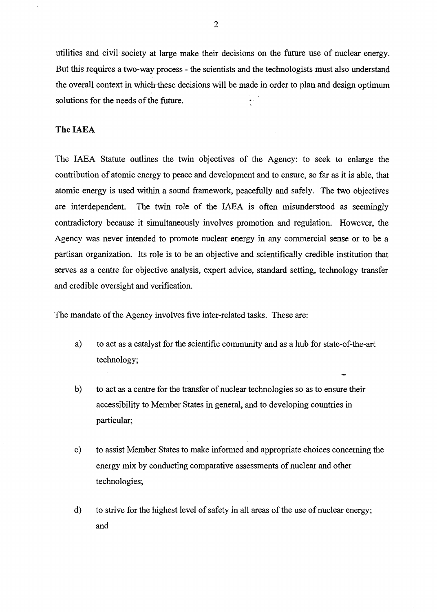utilities and civil society at large make their decisions on the future use of nuclear energy. But this requires a two-way process - the scientists and the technologists must also understand the overall context in which these decisions will be made in order to plan and design optimum solutions for the needs of the future.

# **The** IAEA

The IAEA Statute outlines the twin objectives of the Agency: to seek to enlarge the contribution of atomic energy to peace and development and to ensure, so far as it is able, that atomic energy is used within a sound framework, peacefully and safely. The two objectives are interdependent. The twin role of the IAEA is often misunderstood as seemingly contradictory because it simultaneously involves promotion and regulation. However, the Agency was never intended to promote nuclear energy in any commercial sense or to be a partisan organization. Its role is to be an objective and scientifically credible institution that serves as a centre for objective analysis, expert advice, standard setting, technology transfer and credible oversight and verification.

The mandate of the Agency involves five inter-related tasks. These are:

- a) to act as a catalyst for the scientific community and as a hub for state-of-the-art technology;
- b) to act as a centre for the transfer of nuclear technologies so as to ensure their accessibility to Member States in general, and to developing countries in particular;
- c) to assist Member States to make informed and appropriate choices concerning the energy mix by conducting comparative assessments of nuclear and other technologies;
- d) to strive for the highest level of safety in all areas of the use of nuclear energy; and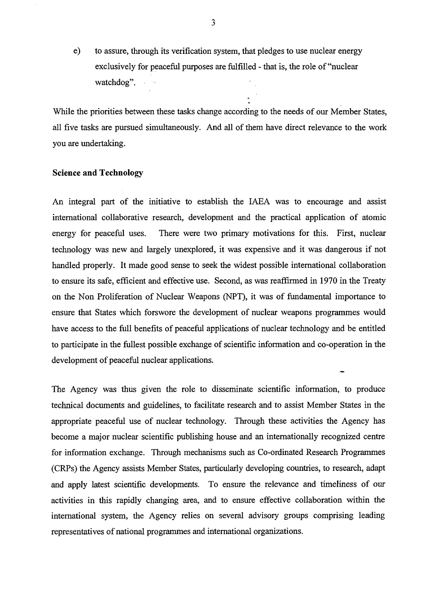e) to assure, through its verification system, that pledges to use nuclear energy exclusively for peaceful purposes are fulfilled - that is, the role of "nuclear watchdog".

While the priorities between these tasks change according to the needs of our Member States, all five tasks are pursued simultaneously. And all of them have direct relevance to the work you are undertaking.

## **Science and Technology**

An integral part of the initiative to establish the IAEA was to encourage and assist international collaborative research, development and the practical application of atomic energy for peaceful uses. There were two primary motivations for this. First, nuclear technology was new and largely unexplored, it was expensive and it was dangerous if not handled properly. It made good sense to seek the widest possible international collaboration to ensure its safe, efficient and effective use. Second, as was reaffirmed in 1970 in the Treaty on the Non Proliferation of Nuclear Weapons (NPT), it was of fundamental importance to ensure that States which forswore the development of nuclear weapons programmes would have access to the full benefits of peaceful applications of nuclear technology and be entitled to participate in the fullest possible exchange of scientific information and co-operation in the development of peaceful nuclear applications.

The Agency was thus given the role to disseminate scientific information, to produce technical documents and guidelines, to facilitate research and to assist Member States in the appropriate peaceful use of nuclear technology. Through these activities the Agency has become a major nuclear scientific publishing house and an internationally recognized centre for information exchange. Through mechanisms such as Co-ordinated Research Programmes (CRPs) the Agency assists Member States, particularly developing countries, to research, adapt and apply latest scientific developments. To ensure the relevance and timeliness of our activities in this rapidly changing area, and to ensure effective collaboration within the international system, the Agency relies on several advisory groups comprising leading representatives of national programmes and international organizations.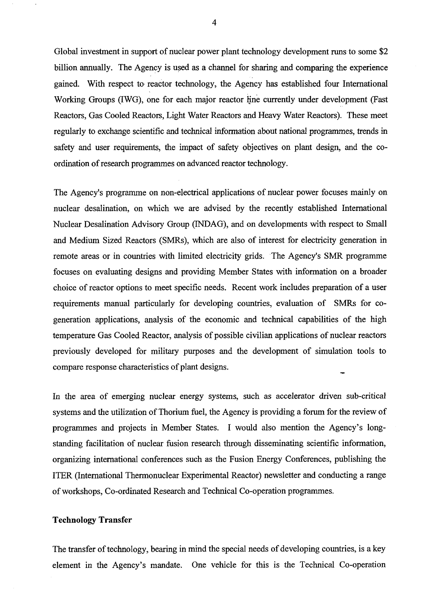Global investment in support of nuclear power plant technology development runs to some \$2 billion annually. The Agency is used as a channel for sharing and comparing the experience gained. With respect to reactor technology, the Agency has established four International Working Groups (IWG), one for each major reactor line currently under development (Fast Reactors, Gas Cooled Reactors, Light Water Reactors and Heavy Water Reactors). These meet regularly to exchange scientific and technical information about national programmes, trends in safety and user requirements, the impact of safety objectives on plant design, and the coordination of research programmes on advanced reactor technology.

The Agency's programme on non-electrical applications of nuclear power focuses mainly on nuclear desalination, on which we are advised by the recently established International Nuclear Desalination Advisory Group (INDAG), and on developments with respect to Small and Medium Sized Reactors (SMRs), which are also of interest for electricity generation in remote areas or in countries with limited electricity grids. The Agency's SMR programme focuses on evaluating designs and providing Member States with information on a broader choice of reactor options to meet specific needs. Recent work includes preparation of a user requirements manual particularly for developing countries, evaluation of SMRs for cogeneration applications, analysis of the economic and technical capabilities of the high temperature Gas Cooled Reactor, analysis of possible civilian applications of nuclear reactors previously developed for military purposes and the development of simulation tools to compare response characteristics of plant designs.

In the area of emerging nuclear energy systems, such as accelerator driven sub-critical systems and the utilization of Thorium fuel, the Agency is providing a forum for the review of programmes and projects in Member States. I would also mention the Agency's longstanding facilitation of nuclear fusion research through disseminating scientific information, organizing international conferences such as the Fusion Energy Conferences, publishing the ITER (International Thermonuclear Experimental Reactor) newsletter and conducting a range of workshops, Co-ordinated Research and Technical Co-operation programmes.

## Technology Transfer

The transfer of technology, bearing in mind the special needs of developing countries, is a key element in the Agency's mandate. One vehicle for this is the Technical Co-operation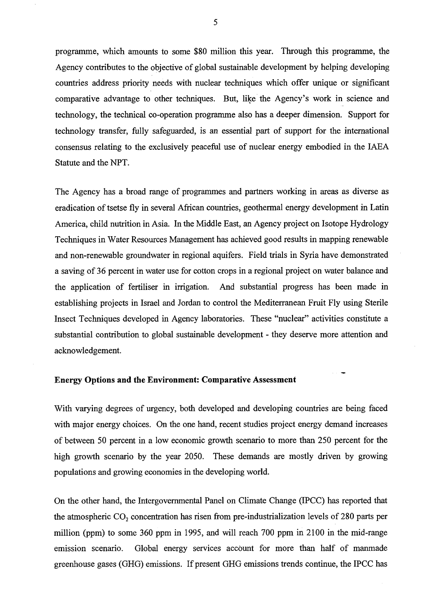programme, which amounts to some \$80 million this year. Through this programme, the Agency contributes to the objective of global sustainable development by helping developing countries address priority needs with nuclear techniques which offer unique or significant comparative advantage to other techniques. But, like the Agency's work in science and technology, the technical co-operation programme also has a deeper dimension. Support for technology transfer, fully safeguarded, is an essential part of support for the international consensus relating to the exclusively peaceful use of nuclear energy embodied in the IAEA Statute and the NPT.

The Agency has a broad range of programmes and partners working in areas as diverse as eradication of tsetse fly in several African countries, geothermal energy development in Latin America, child nutrition in Asia. In the Middle East, an Agency project on Isotope Hydrology Techniques in Water Resources Management has achieved good results in mapping renewable and non-renewable groundwater in regional aquifers. Field trials in Syria have demonstrated a saving of 36 percent in water use for cotton crops in a regional project on water balance and the application of fertiliser in irrigation. And substantial progress has been made in establishing projects in Israel and Jordan to control the Mediterranean Fruit Fly using Sterile Insect Techniques developed in Agency laboratories. These "nuclear" activities constitute a substantial contribution to global sustainable development - they deserve more attention and acknowledgement.

### **Energy Options and the Environment: Comparative Assessment**

With varying degrees of urgency, both developed and developing countries are being faced with major energy choices. On the one hand, recent studies project energy demand increases of between 50 percent in a low economic growth scenario to more than 250 percent for the high growth scenario by the year 2050. These demands are mostly driven by growing populations and growing economies in the developing world.

On the other hand, the Intergovernmental Panel on Climate Change (IPCC) has reported that the atmospheric  $CO_2$  concentration has risen from pre-industrialization levels of 280 parts per million (ppm) to some 360 ppm in 1995, and will reach 700 ppm in 2100 in the mid-range emission scenario. Global energy services account for more than half of manmade greenhouse gases (GHG) emissions. If present GHG emissions trends continue, the IPCC has

5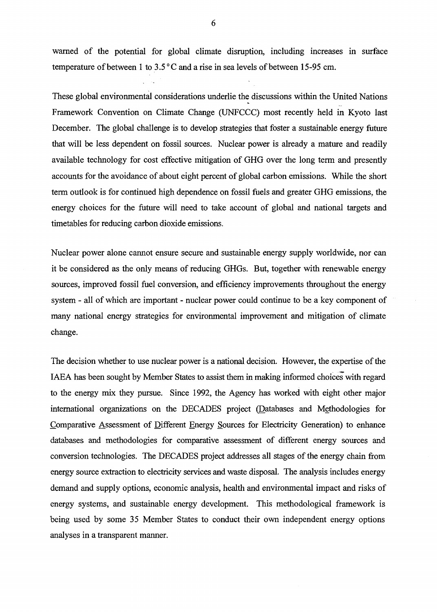warned of the potential for global climate disruption, including increases in surface temperature of between 1 to 3.5 °C and a rise in sea levels of between 15-95 cm.

These global environmental considerations underlie the discussions within the United Nations Framework Convention on Climate Change (UNFCCC) most recently held in Kyoto last December. The global challenge is to develop strategies that foster a sustainable energy future that will be less dependent on fossil sources. Nuclear power is already a mature and readily available technology for cost effective mitigation of GHG over the long term and presently accounts for the avoidance of about eight percent of global carbon emissions. While the short term outlook is for continued high dependence on fossil fuels and greater GHG emissions, the energy choices for the future will need to take account of global and national targets and timetables for reducing carbon dioxide emissions.

Nuclear power alone cannot ensure secure and sustainable energy supply worldwide, nor can it be considered as the only means of reducing GHGs. But, together with renewable energy sources, improved fossil fuel conversion, and efficiency improvements throughout the energy system - all of which are important - nuclear power could continue to be a key component of many national energy strategies for environmental improvement and mitigation of climate change.

The decision whether to use nuclear power is a national decision. However, the expertise of the IAEA has been sought by Member States to assist them in making informed choices with regard to the energy mix they pursue. Since 1992, the Agency has worked with eight other major international organizations on the DECADES project (Databases and Methodologies for Comparative Assessment of Different Energy Sources for Electricity Generation) to enhance databases and methodologies for comparative assessment of different energy sources and conversion technologies. The DECADES project addresses all stages of the energy chain from energy source extraction to electricity services and waste disposal. The analysis includes energy demand and supply options, economic analysis, health and environmental impact and risks of energy systems, and sustainable energy development. This methodological framework is being used by some 35 Member States to conduct their own independent energy options analyses in a transparent manner.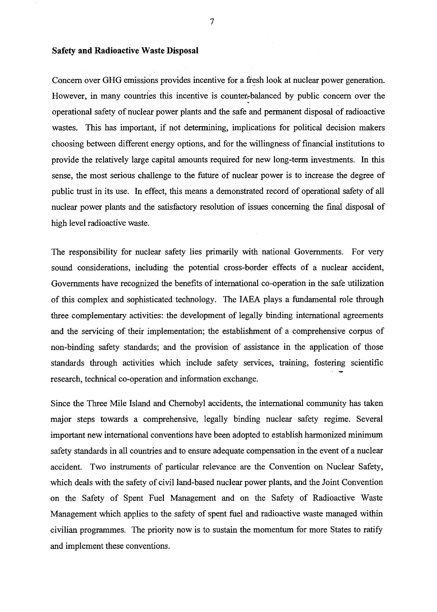## **Safety and Radioactive Waste Disposal**

Concern over GHG emissions provides incentive for a fresh look at nuclear power generation. However, in many countries this incentive is counter-balanced by public concern over the operational safety of nuclear power plants and the safe and permanent disposal of radioactive wastes. This has important, if not determining, implications for political decision makers choosing between different energy options, and for the willingness of financial institutions to provide the relatively large capital amounts required for new long-term investments. In this sense, the most serious challenge to the future of nuclear power is to increase the degree of public trust in its use. In effect, this means a demonstrated record of operational safety of all nuclear power plants and the satisfactory resolution of issues concerning the final disposal of high level radioactive waste.

The responsibility for nuclear safety lies primarily with national Governments. For very sound considerations, including the potential cross-border effects of a nuclear accident, Governments have recognized the benefits of international co-operation in the safe utilization of this complex and sophisticated technology. The IAEA plays a fundamental role through three complementary activities: the development of legally binding international agreements and the servicing of their implementation; the establishment of a comprehensive corpus of non-binding safety standards; and the provision of assistance in the application of those standards through activities which include safety services, training, fostering scientific research, technical co-operation and information exchange.

Since the Three Mile Island and Chernobyl accidents, the international community has taken major steps towards a comprehensive, legally binding nuclear safety regime. Several important new international conventions have been adopted to establish harmonized minimum safety standards in all countries and to ensure adequate compensation in the event of a nuclear accident. Two instruments of particular relevance are the Convention on Nuclear Safety, which deals with the safety of civil land-based nuclear power plants, and the Joint Convention on the Safety of Spent Fuel Management and on the Safety of Radioactive Waste Management which applies to the safety of spent fuel and radioactive waste managed within civilian programmes. The priority now is to sustain the momentum for more States to ratify and implement these conventions.

7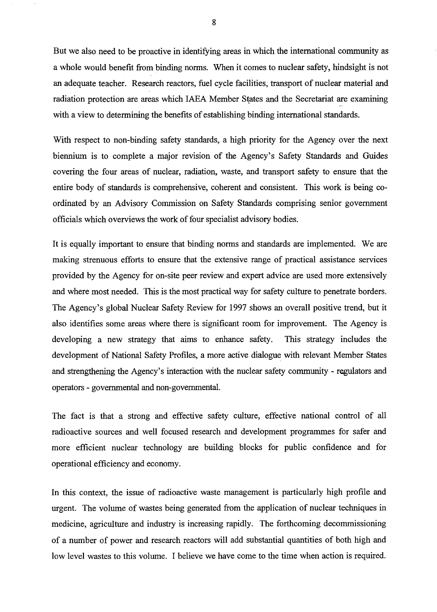But we also need to be proactive in identifying areas in which the international community as a whole would benefit from binding norms. When it comes to nuclear safety, hindsight is not an adequate teacher. Research reactors, fuel cycle facilities, transport of nuclear material and radiation protection are areas which IAEA Member States and the Secretariat are examining with a view to determining the benefits of establishing binding international standards.

With respect to non-binding safety standards, a high priority for the Agency over the next biennium is to complete a major revision of the Agency's Safety Standards and Guides covering the four areas of nuclear, radiation, waste, and transport safety to ensure that the entire body of standards is comprehensive, coherent and consistent. This work is being coordinated by an Advisory Commission on Safety Standards comprising senior government officials which overviews the work of four specialist advisory bodies.

It is equally important to ensure that binding norms and standards are implemented. We are making strenuous efforts to ensure that the extensive range of practical assistance services provided by the Agency for on-site peer review and expert advice are used more extensively and where most needed. This is the most practical way for safety culture to penetrate borders. The Agency's global Nuclear Safety Review for 1997 shows an overall positive trend, but it also identifies some areas where there is significant room for improvement. The Agency is developing a new strategy that aims to enhance safety. This strategy includes the development of National Safety Profiles, a more active dialogue with relevant Member States and strengthening the Agency's interaction with the nuclear safety community - regulators and operators - governmental and non-governmental.

The fact is that a strong and effective safety culture, effective national control of all radioactive sources and well focused research and development programmes for safer and more efficient nuclear technology are building blocks for public confidence and for operational efficiency and economy.

In this context, the issue of radioactive waste management is particularly high profile and urgent. The volume of wastes being generated from the application of nuclear techniques in medicine, agriculture and industry is increasing rapidly. The forthcoming decommissioning of a number of power and research reactors will add substantial quantities of both high and low level wastes to this volume. I believe we have come to the time when action is required.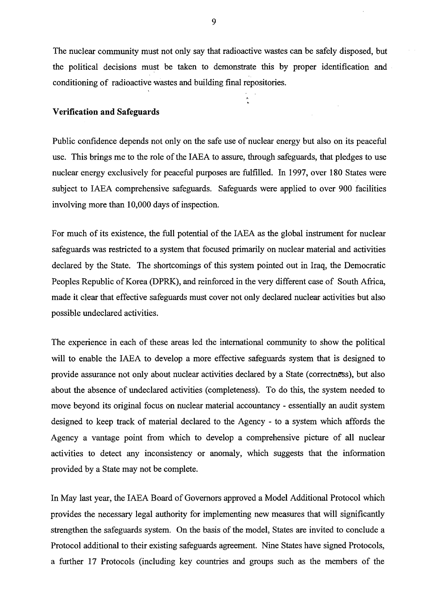The nuclear community must not only say that radioactive wastes can be safely disposed, but the political decisions must be taken to demonstrate this by proper identification and conditioning of radioactive wastes and building final repositories.

### **Verification and Safeguards**

Public confidence depends not only on the safe use of nuclear energy but also on its peaceful use. This brings me to the role of the IAEA to assure, through safeguards, that pledges to use nuclear energy exclusively for peaceful purposes are fulfilled. In 1997, over 180 States were subject to IAEA comprehensive safeguards. Safeguards were applied to over 900 facilities involving more than 10,000 days of inspection.

For much of its existence, the full potential of the IAEA as the global instrument for nuclear safeguards was restricted to a system that focused primarily on nuclear material and activities declared by the State. The shortcomings of this system pointed out in Iraq, the Democratic Peoples Republic of Korea (DPRK), and reinforced in the very different case of South Africa, made it clear that effective safeguards must cover not only declared nuclear activities but also possible undeclared activities.

The experience in each of these areas led the international community to show the political will to enable the IAEA to develop a more effective safeguards system that is designed to provide assurance not only about nuclear activities declared by a State (correctness), but also about the absence of undeclared activities (completeness). To do this, the system needed to move beyond its original focus on nuclear material accountancy - essentially an audit system designed to keep track of material declared to the Agency - to a system which affords the Agency a vantage point from which to develop a comprehensive picture of all nuclear activities to detect any inconsistency or anomaly, which suggests that the information provided by a State may not be complete.

In May last year, the IAEA Board of Governors approved a Model Additional Protocol which provides the necessary legal authority for implementing new measures that will significantly strengthen the safeguards system. On the basis of the model, States are invited to conclude a Protocol additional to their existing safeguards agreement. Nine States have signed Protocols, a further 17 Protocols (including key countries and groups such as the members of the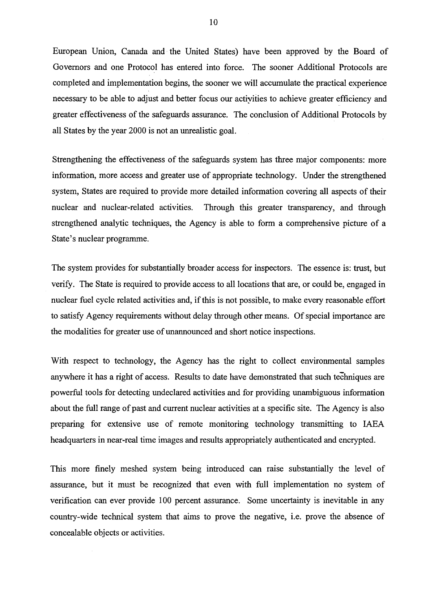European Union, Canada and the United States) have been approved by the Board of Governors and one Protocol has entered into force. The sooner Additional Protocols are completed and implementation begins, the sooner we will accumulate the practical experience necessary to be able to adjust and better focus our activities to achieve greater efficiency and greater effectiveness of the safeguards assurance. The conclusion of Additional Protocols by all States by the year 2000 is not an unrealistic goal.

Strengthening the effectiveness of the safeguards system has three major components: more information, more access and greater use of appropriate technology. Under the strengthened system, States are required to provide more detailed information covering all aspects of their nuclear and nuclear-related activities. Through this greater transparency, and through strengthened analytic techniques, the Agency is able to form a comprehensive picture of a State's nuclear programme.

The system provides for substantially broader access for inspectors. The essence is: trust, but verify. The State is required to provide access to all locations that are, or could be, engaged in nuclear fuel cycle related activities and, if this is not possible, to make every reasonable effort to satisfy Agency requirements without delay through other means. Of special importance are the modalities for greater use of unannounced and short notice inspections.

With respect to technology, the Agency has the right to collect environmental samples anywhere it has a right of access. Results to date have demonstrated that such techniques are powerful tools for detecting undeclared activities and for providing unambiguous information about the full range of past and current nuclear activities at a specific site. The Agency is also preparing for extensive use of remote monitoring technology transmitting to IAEA headquarters in near-real time images and results appropriately authenticated and encrypted.

This more finely meshed system being introduced can raise substantially the level of assurance, but it must be recognized that even with full implementation no system of verification can ever provide 100 percent assurance. Some uncertainty is inevitable in any country-wide technical system that aims to prove the negative, i.e. prove the absence of concealable objects or activities.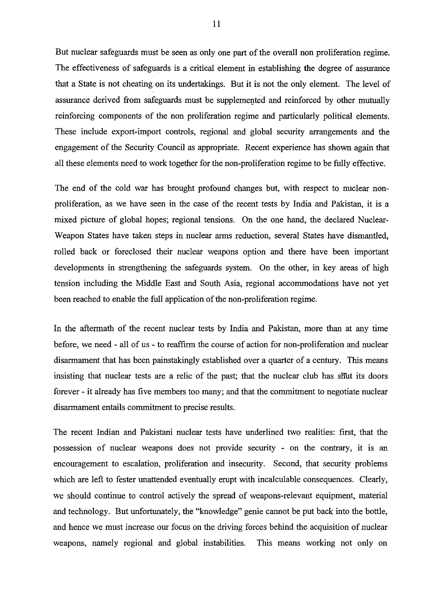But nuclear safeguards must be seen as only one part of the overall non proliferation regime. The effectiveness of safeguards is a critical element in establishing the degree of assurance that a State is not cheating on its undertakings. But it is not the only element. The level of assurance derived from safeguards must be supplemented and reinforced by other mutually reinforcing components of the non proliferation regime and particularly political elements. These include export-import controls, regional and global security arrangements and the engagement of the Security Council as appropriate. Recent experience has shown again that all these elements need to work together for the non-proliferation regime to be fully effective.

The end of the cold war has brought profound changes but, with respect to nuclear nonproliferation, as we have seen in the case of the recent tests by India and Pakistan, it is a mixed picture of global hopes; regional tensions. On the one hand, the declared Nuclear-Weapon States have taken steps in nuclear arms reduction, several States have dismantled, rolled back or foreclosed their nuclear weapons option and there have been important developments in strengthening the safeguards system. On the other, in key areas of high tension including the Middle East and South Asia, regional accommodations have not yet been reached to enable the full application of the non-proliferation regime.

In the aftermath of the recent nuclear tests by India and Pakistan, more than at any time before, we need - all of us - to reaffirm the course of action for non-proliferation and nuclear disarmament that has been painstakingly established over a quarter of a century. This means insisting that nuclear tests are a relic of the past; that the nuclear club has shut its doors forever - it already has five members too many; and that the commitment to negotiate nuclear disarmament entails commitment to precise results.

The recent Indian and Pakistani nuclear tests have underlined two realities: first, that the possession of nuclear weapons does not provide security - on the contrary, it is an encouragement to escalation, proliferation and insecurity. Second, that security problems which are left to fester unattended eventually erupt with incalculable consequences. Clearly, we should continue to control actively the spread of weapons-relevant equipment, material and technology. But unfortunately, the "knowledge" genie cannot be put back into the bottle, and hence we must increase our focus on the driving forces behind the acquisition of nuclear weapons, namely regional and global instabilities. This means working not only on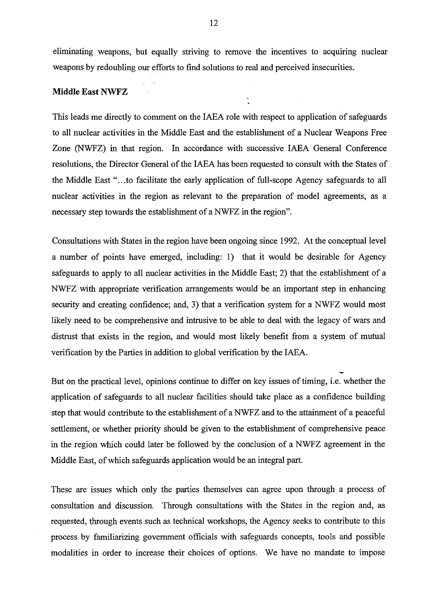eliminating weapons, but equally striving to remove the incentives to acquiring nuclear weapons by redoubling our efforts to find solutions to real and perceived insecurities.

#### **Middle East NWFZ**

This leads me directly to comment on the IAEA role with respect to application of safeguards to all nuclear activities in the Middle East and the establishment of a Nuclear Weapons Free Zone (NWFZ) in that region. In accordance with successive IAEA General Conference resolutions, the Director General of the IAEA has been requested to consult with the States of the Middle East "...to facilitate the early application of foil-scope Agency safeguards to all nuclear activities in the region as relevant to the preparation of model agreements, as a necessary step towards the establishment of a NWFZ in the region".

Consultations with States in the region have been ongoing since 1992. At the conceptual level a number of points have emerged, including: 1) that it would be desirable for Agency safeguards to apply to all nuclear activities in the Middle East; 2) that the establishment of a NWFZ with appropriate verification arrangements would be an important step in enhancing security and creating confidence; and, 3) that a verification system for a NWFZ would most likely need to be comprehensive and intrusive to be able to deal with the legacy of wars and distrust that exists in the region, and would most likely benefit from a system of mutual verification by the Parties in addition to global verification by the IAEA.

But on the practical level, opinions continue to differ on key issues of timing, i.e. whether the application of safeguards to all nuclear facilities should take place as a confidence building step that would contribute to the establishment of a NWFZ and to the attainment of a peaceful settlement, or whether priority should be given to the establishment of comprehensive peace in the region which could later be followed by the conclusion of a NWFZ agreement in the Middle East, of which safeguards application would be an integral part.

These are issues which only the parties themselves can agree upon through a process of consultation and discussion. Through consultations with the States in the region and, as requested, through events such as technical workshops, the Agency seeks to contribute to this process by familiarizing government officials with safeguards concepts, tools and possible modalities in order to increase their choices of options. We have no mandate to impose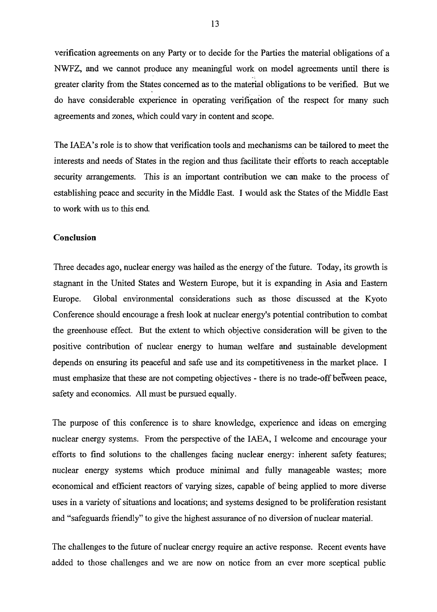verification agreements on any Party or to decide for the Parties the material obligations of a NWFZ, and we cannot produce any meaningful work on model agreements until there is greater clarity from the States concerned as to the material obligations to be verified. But we do have considerable experience in operating verification of the respect for many such agreements and zones, which could vary in content and scope.

The IAEA's role is to show that verification tools and mechanisms can be tailored to meet the interests and needs of States in the region and thus facilitate their efforts to reach acceptable security arrangements. This is an important contribution we can make to the process of establishing peace and security in the Middle East. I would ask the States of the Middle East to work with us to this end.

## **Conclusion**

Three decades ago, nuclear energy was hailed as the energy of the future. Today, its growth is stagnant in the United States and Western Europe, but it is expanding in Asia and Eastern Europe. Global environmental considerations such as those discussed at the Kyoto Conference should encourage a fresh look at nuclear energy's potential contribution to combat the greenhouse effect. But the extent to which objective consideration will be given to the positive contribution of nuclear energy to human welfare and sustainable development depends on ensuring its peaceful and safe use and its competitiveness in the market place. I must emphasize that these are not competing objectives - there is no trade-off between peace, safety and economics. All must be pursued equally.

The purpose of this conference is to share knowledge, experience and ideas on emerging nuclear energy systems. From the perspective of the IAEA, I welcome and encourage your efforts to find solutions to the challenges facing nuclear energy: inherent safety features; nuclear energy systems which produce minimal and folly manageable wastes; more economical and efficient reactors of varying sizes, capable of being applied to more diverse uses in a variety of situations and locations; and systems designed to be proliferation resistant and "safeguards friendly" to give the highest assurance of no diversion of nuclear material.

The challenges to the future of nuclear energy require an active response. Recent events have added to those challenges and we are now on notice from an ever more sceptical public